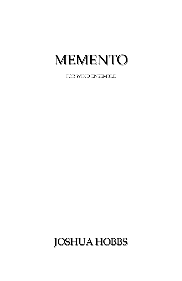FOR WIND ENSEMBLE

## JOSHUA HOBBS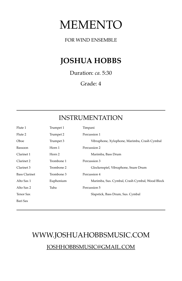FOR WIND ENSEMBLE

## **JOSHUA HOBBS**

Duration: *ca.* 5:30

Grade: 4

### INSTRUMENTATION

| Flute 1              | Trumpet 1  | Timpani                                        |
|----------------------|------------|------------------------------------------------|
| Flute 2              | Trumpet 2  | Percussion 1                                   |
| Oboe                 | Trumpet 3  | Vibraphone, Xylophone, Marimba, Crash Cymbal   |
| <b>Bassoon</b>       | Horn 1     | Percussion 2                                   |
| Clarinet 1           | Horn 2     | Marimba, Bass Drum                             |
| Clarinet 2           | Trombone 1 | Percussion 3                                   |
| Clarinet 3           | Trombone 2 | Glockenspiel, Vibraphone, Snare Drum           |
| <b>Bass Clarinet</b> | Trombone 3 | Percussion 4                                   |
| Alto Sax 1           | Euphonium  | Marimba, Sus. Cymbal, Crash Cymbal, Wood Block |
| Alto Sax 2           | Tuba       | Percussion 5                                   |
| Tenor Sax            |            | Slapstick, Bass Drum, Sus. Cymbal              |
| Bari Sax             |            |                                                |

### [WWW.JOSHUAHOBBSMUSIC.COM](http://WWW.JOSHUAHOBBSMUSIC.COM)

#### [JOSHHOBBSMUSIC@GMAIL.COM](mailto:JOSHHOBBSMUSIC@GMAIL.COM)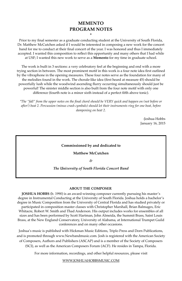#### **MEMENTO PROGRAM NOTES \***

Prior to my final semester as a graduate conducting student at the University of South Florida, Dr. Matthew McCutchen asked if I would be interested in composing a new work for the concert band for me to conduct at their final concert of the year. I was honored and thus I immediately accepted. I wanted this composition to reflect this opportunity and many others that I had while at USF; I wanted this new work to serve as a **Memento** for my time in graduate school.

The work is built in 3 sections: a very celebratory feel at the beginning and end with a more trying section in between. The most prominent motif in this work is a four note idea first outlined by the vibraphone in the opening measures. These four notes serve as the foundation for many of the melodies found in the work. The chorale-like idea (first heard at measure 45) should be powerfully lush while the woodwind ascending flurry occurring simultaneously should just be powerful! The sinister middle section is also built from the four note motif with only one difference (fourth note is a minor sixth instead of a perfect fifth above tonic).

*\*The "fall" from the upper notes on the final chord should be VERY quick and happen on (not before or after!) beat 2. Percussion (minus crash cymbals) should let their instruments ring for one beat, before dampening on beat 2.* 

> -Joshua Hobbs January 16, 2015

**Commissioned by and dedicated to**

**Matthew McCutchen**

*&*

*The University of South Florida Concert Band*

#### **ABOUT THE COMPOSER**

**JOSHUA HOBBS** (b. 1990) is an award-winning composer currently pursuing his master's degree in Instrumental Conducting at the University of South Florida. Joshua holds a bachelor's degree in Music Composition from the University of Central Florida and has studied privately or participated in composition master classes with Christopher Marshall, Brian Balmages, Eric Whitacre, Robert W. Smith and Thad Anderson. His output includes works for ensembles of all sizes and has been performed by Scott Hartman, John Almeida, the Summit Brass, Saint Louis Brass, at the New England Conservatory, University of Alabama, at International Trumpet Guild conferences and on many other occasions.

Joshua's music is published with Hickman Music Editions, Triplo Press and Dorn Publications, and is promoted through www.Newbandmusic.com. Josh is registered with the American Society of Composers, Authors and Publishers (ASCAP) and is a member of the Society of Composers (SCI), as well as the American Composers Forum (ACF). He resides in Tampa, Florida.

For more information, recordings, and other helpful resources, please visit

[WWW.JOSHUAHOBBSMUSIC.COM](http://WWW.JOSHUAHOBBSMUSIC.COM)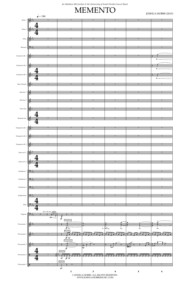

## MEMENTO **IOSHUA HOBBS** (2015)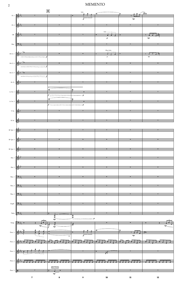

**8**

**9**

**10**

**11**

**12**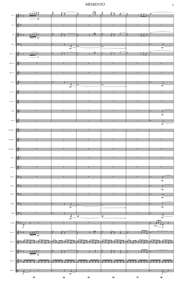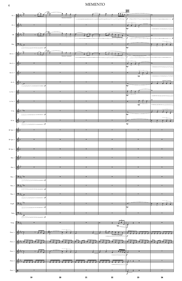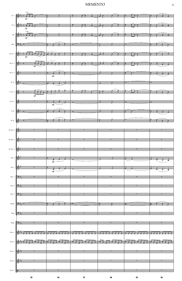**26**!

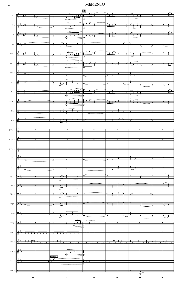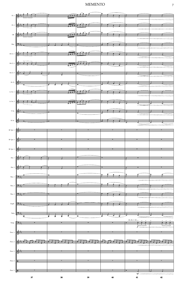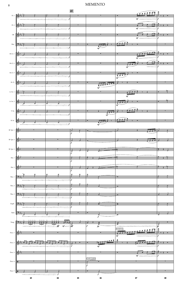

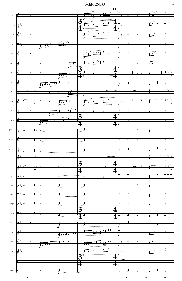**51**!

**52**

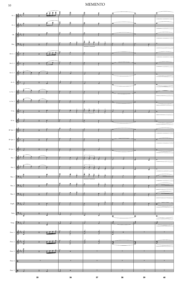

**56**

**58**!

**59**!

**60**!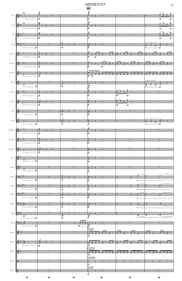**62**!

**64**



**65**!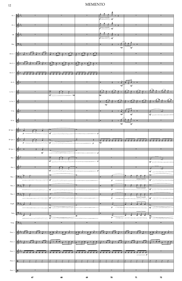

 $\bf 67$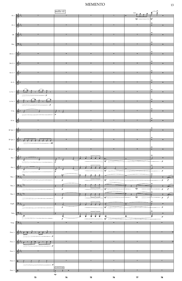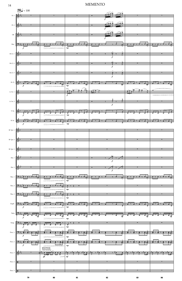**80**



**81**

**82**

**83**

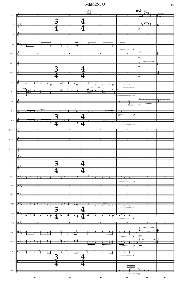MEMENTO 15



**86**

**88**

**89**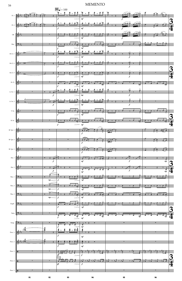$92$ 



**93**!

**94**!

**95**!

**96**!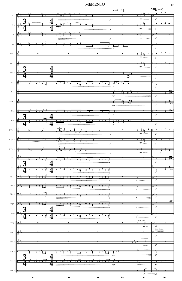**98**!

**99**!

**100**!

**101**

#### MEMENTO 17

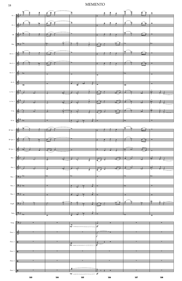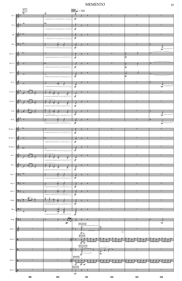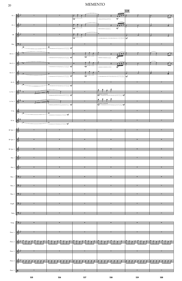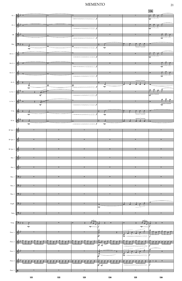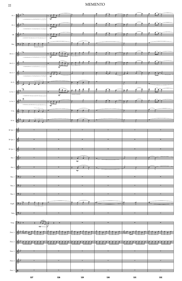**128**



**129**

**131**

**132**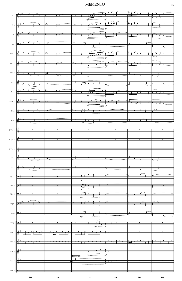135

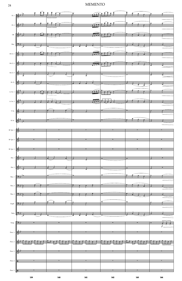

**140**

**141**

**142**

**143**

**144**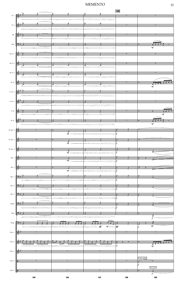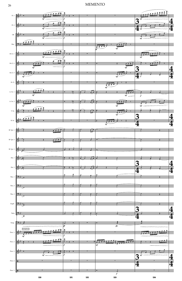**151**!

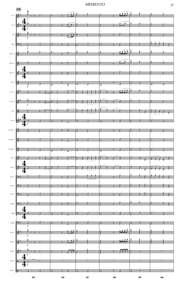**156**



**158**

**159**

**160**!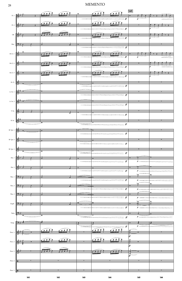

**164**!